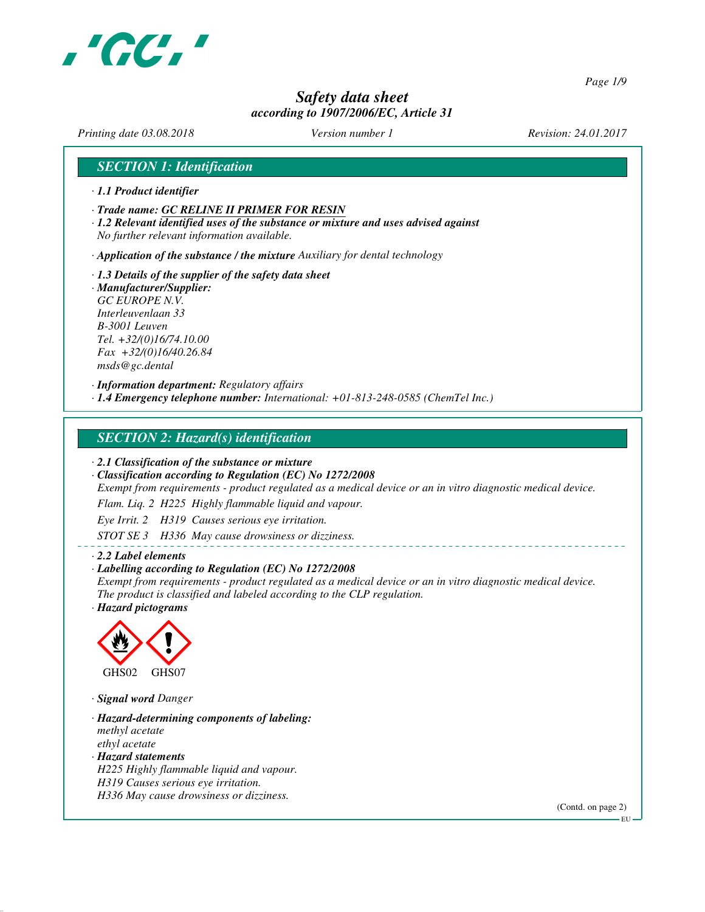

*Page 1/9*

## *Safety data sheet according to 1907/2006/EC, Article 31*

*Printing date 03.08.2018 Version number 1 Revision: 24.01.2017*

## *SECTION 1: Identification*

- *· 1.1 Product identifier*
- *· Trade name: GC RELINE II PRIMER FOR RESIN*
- *· 1.2 Relevant identified uses of the substance or mixture and uses advised against No further relevant information available.*

*· Application of the substance / the mixture Auxiliary for dental technology*

*· 1.3 Details of the supplier of the safety data sheet · Manufacturer/Supplier: GC EUROPE N.V. Interleuvenlaan 33 B-3001 Leuven Tel. +32/(0)16/74.10.00 Fax +32/(0)16/40.26.84 msds@gc.dental*

*· Information department: Regulatory affairs · 1.4 Emergency telephone number: International: +01-813-248-0585 (ChemTel Inc.)*

## *SECTION 2: Hazard(s) identification*

*· 2.1 Classification of the substance or mixture*

*· Classification according to Regulation (EC) No 1272/2008*

*Exempt from requirements - product regulated as a medical device or an in vitro diagnostic medical device.*

*Flam. Liq. 2 H225 Highly flammable liquid and vapour.*

*Eye Irrit. 2 H319 Causes serious eye irritation.*

*STOT SE 3 H336 May cause drowsiness or dizziness.*

#### *· 2.2 Label elements*

#### *· Labelling according to Regulation (EC) No 1272/2008*

*Exempt from requirements - product regulated as a medical device or an in vitro diagnostic medical device. The product is classified and labeled according to the CLP regulation.*

*· Hazard pictograms*



*· Signal word Danger*

*· Hazard-determining components of labeling: methyl acetate ethyl acetate · Hazard statements H225 Highly flammable liquid and vapour. H319 Causes serious eye irritation. H336 May cause drowsiness or dizziness.*

(Contd. on page 2)

EU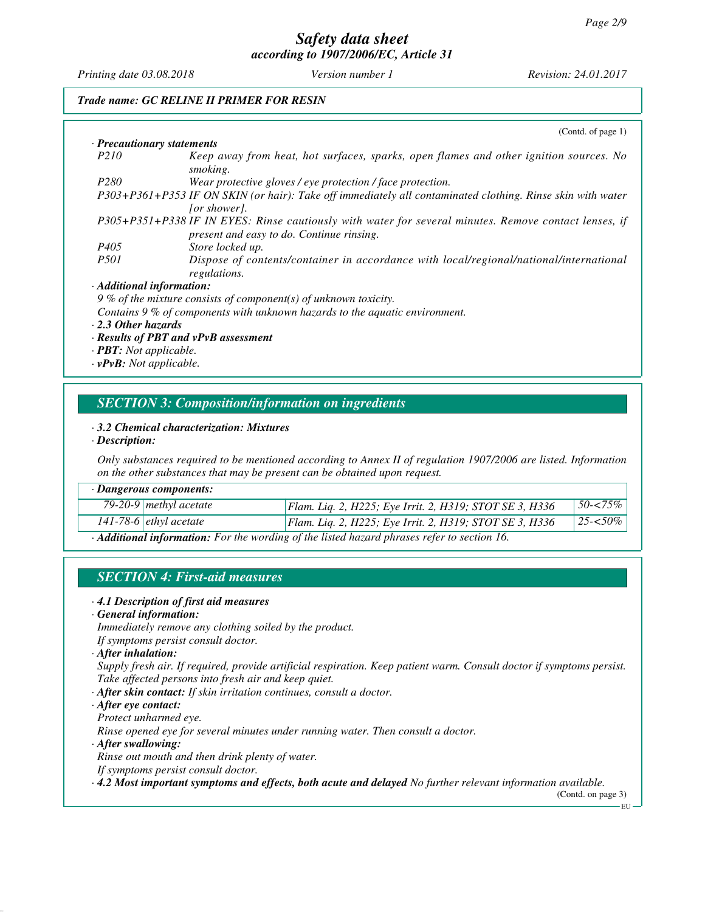*Printing date 03.08.2018 Version number 1 Revision: 24.01.2017*

## *Trade name: GC RELINE II PRIMER FOR RESIN*

|                                 | (Contd. of page $1$ )                                                                                                                              |
|---------------------------------|----------------------------------------------------------------------------------------------------------------------------------------------------|
| · Precautionary statements      |                                                                                                                                                    |
| P <sub>210</sub>                | Keep away from heat, hot surfaces, sparks, open flames and other ignition sources. No<br>smoking.                                                  |
| P <sub>280</sub>                | Wear protective gloves / eye protection / face protection.                                                                                         |
|                                 | P303+P361+P353 IF ON SKIN (or hair): Take off immediately all contaminated clothing. Rinse skin with water<br><i>for showerl.</i>                  |
|                                 | P305+P351+P338 IF IN EYES: Rinse cautiously with water for several minutes. Remove contact lenses, if<br>present and easy to do. Continue rinsing. |
| P <sub>405</sub>                | Store locked up.                                                                                                                                   |
| <i>P501</i>                     | Dispose of contents/container in accordance with local/regional/national/international<br>regulations.                                             |
| $\cdot$ Additional information: |                                                                                                                                                    |
|                                 | 9 % of the mixture consists of component(s) of unknown toxicity.                                                                                   |
|                                 | Contains 9 % of components with unknown hazards to the aquatic environment.                                                                        |
| $\cdot$ 2.3 Other hazards       |                                                                                                                                                    |

- *· Results of PBT and vPvB assessment*
- *· PBT: Not applicable.*
- *· vPvB: Not applicable.*

#### *SECTION 3: Composition/information on ingredients*

#### *· 3.2 Chemical characterization: Mixtures*

#### *· Description:*

*Only substances required to be mentioned according to Annex II of regulation 1907/2006 are listed. Information on the other substances that may be present can be obtained upon request.*

|                                                                                             | $\cdot$ Dangerous components:     |                                                         |              |
|---------------------------------------------------------------------------------------------|-----------------------------------|---------------------------------------------------------|--------------|
|                                                                                             | 79-20-9 methyl acetate            | Flam. Liq. 2, H225; Eye Irrit. 2, H319; STOT SE 3, H336 | $50 - 575\%$ |
|                                                                                             | 141-78-6 $\epsilon$ ethyl acetate | Flam. Liq. 2, H225; Eye Irrit. 2, H319; STOT SE 3, H336 | $125 - 50\%$ |
| · Additional information: For the wording of the listed hazard phrases refer to section 16. |                                   |                                                         |              |

## *SECTION 4: First-aid measures*

- *· 4.1 Description of first aid measures*
- *· General information:*

*Immediately remove any clothing soiled by the product.*

- *If symptoms persist consult doctor.*
- *· After inhalation:*

*Supply fresh air. If required, provide artificial respiration. Keep patient warm. Consult doctor if symptoms persist. Take affected persons into fresh air and keep quiet.*

- *· After skin contact: If skin irritation continues, consult a doctor.*
- *· After eye contact:*
- *Protect unharmed eye.*

*Rinse opened eye for several minutes under running water. Then consult a doctor.*

*· After swallowing:*

*Rinse out mouth and then drink plenty of water.*

*If symptoms persist consult doctor.*

*· 4.2 Most important symptoms and effects, both acute and delayed No further relevant information available.*

(Contd. on page 3) EU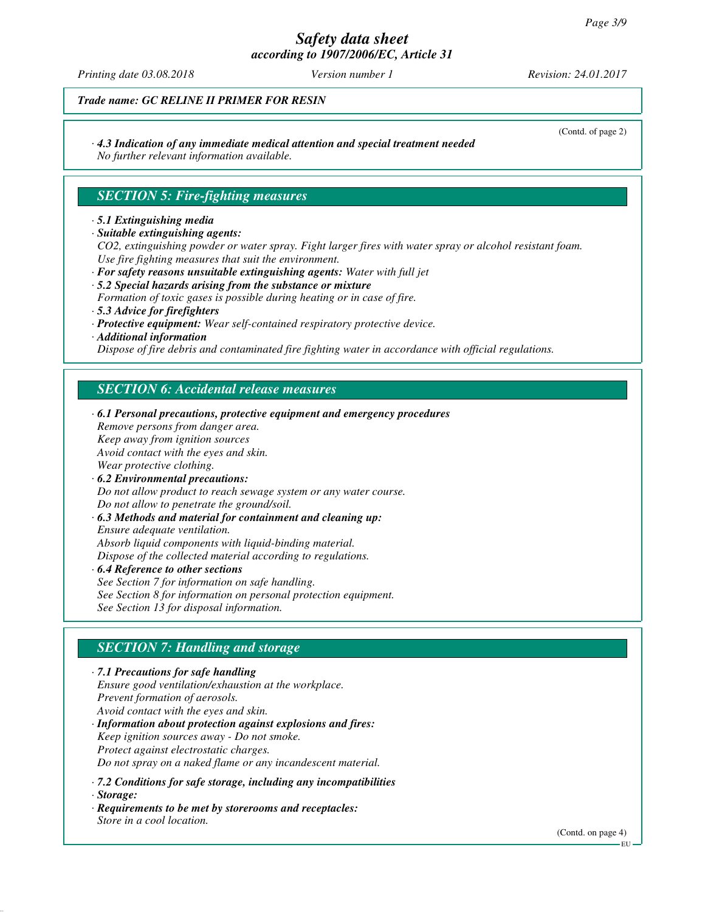# *Safety data sheet*

*according to 1907/2006/EC, Article 31*

*Printing date 03.08.2018 Version number 1 Revision: 24.01.2017*

(Contd. of page 2)

*Trade name: GC RELINE II PRIMER FOR RESIN*

## *· 4.3 Indication of any immediate medical attention and special treatment needed*

*No further relevant information available.*

## *SECTION 5: Fire-fighting measures*

#### *· 5.1 Extinguishing media*

*· Suitable extinguishing agents:*

*CO2, extinguishing powder or water spray. Fight larger fires with water spray or alcohol resistant foam. Use fire fighting measures that suit the environment.*

- *· For safety reasons unsuitable extinguishing agents: Water with full jet · 5.2 Special hazards arising from the substance or mixture*
- *Formation of toxic gases is possible during heating or in case of fire.*
- *· 5.3 Advice for firefighters*
- *· Protective equipment: Wear self-contained respiratory protective device.*
- *· Additional information*

*Dispose of fire debris and contaminated fire fighting water in accordance with official regulations.*

## *SECTION 6: Accidental release measures*

*· 6.1 Personal precautions, protective equipment and emergency procedures Remove persons from danger area. Keep away from ignition sources Avoid contact with the eyes and skin. Wear protective clothing. · 6.2 Environmental precautions: Do not allow product to reach sewage system or any water course. Do not allow to penetrate the ground/soil. · 6.3 Methods and material for containment and cleaning up: Ensure adequate ventilation. Absorb liquid components with liquid-binding material. Dispose of the collected material according to regulations.*

*· 6.4 Reference to other sections See Section 7 for information on safe handling. See Section 8 for information on personal protection equipment. See Section 13 for disposal information.*

## *SECTION 7: Handling and storage*

*· 7.1 Precautions for safe handling Ensure good ventilation/exhaustion at the workplace. Prevent formation of aerosols. Avoid contact with the eyes and skin. · Information about protection against explosions and fires: Keep ignition sources away - Do not smoke.*

*Protect against electrostatic charges.*

*Do not spray on a naked flame or any incandescent material.*

- *· 7.2 Conditions for safe storage, including any incompatibilities · Storage:*
- *· Requirements to be met by storerooms and receptacles: Store in a cool location.*

(Contd. on page 4)

EU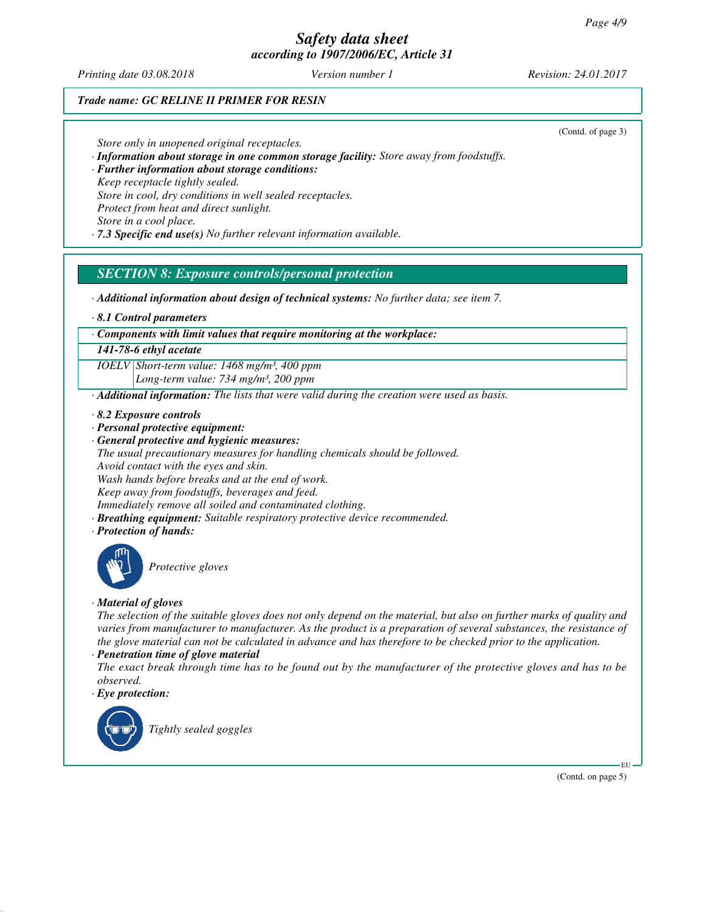*Printing date 03.08.2018 Version number 1 Revision: 24.01.2017*

## *Trade name: GC RELINE II PRIMER FOR RESIN*

(Contd. of page 3)

*Store only in unopened original receptacles.*

- *· Information about storage in one common storage facility: Store away from foodstuffs.*
- *· Further information about storage conditions: Keep receptacle tightly sealed.*
- *Store in cool, dry conditions in well sealed receptacles.*

*Protect from heat and direct sunlight.*

*Store in a cool place.*

*· 7.3 Specific end use(s) No further relevant information available.*

## *SECTION 8: Exposure controls/personal protection*

- *· Additional information about design of technical systems: No further data; see item 7.*
- *· 8.1 Control parameters*

#### *· Components with limit values that require monitoring at the workplace:*

#### *141-78-6 ethyl acetate*

*IOELV Short-term value: 1468 mg/m³, 400 ppm Long-term value: 734 mg/m³, 200 ppm*

- *· Additional information: The lists that were valid during the creation were used as basis.*
- *· 8.2 Exposure controls*
- *· Personal protective equipment:*
- *· General protective and hygienic measures:*

*The usual precautionary measures for handling chemicals should be followed. Avoid contact with the eyes and skin.*

*Wash hands before breaks and at the end of work.*

*Keep away from foodstuffs, beverages and feed.*

*Immediately remove all soiled and contaminated clothing.*

- *· Breathing equipment: Suitable respiratory protective device recommended.*
- *· Protection of hands:*



*Protective gloves*

#### *· Material of gloves*

*The selection of the suitable gloves does not only depend on the material, but also on further marks of quality and varies from manufacturer to manufacturer. As the product is a preparation of several substances, the resistance of the glove material can not be calculated in advance and has therefore to be checked prior to the application.*

#### *· Penetration time of glove material*

*The exact break through time has to be found out by the manufacturer of the protective gloves and has to be observed.*

#### *· Eye protection:*



*Tightly sealed goggles*

(Contd. on page 5)

EU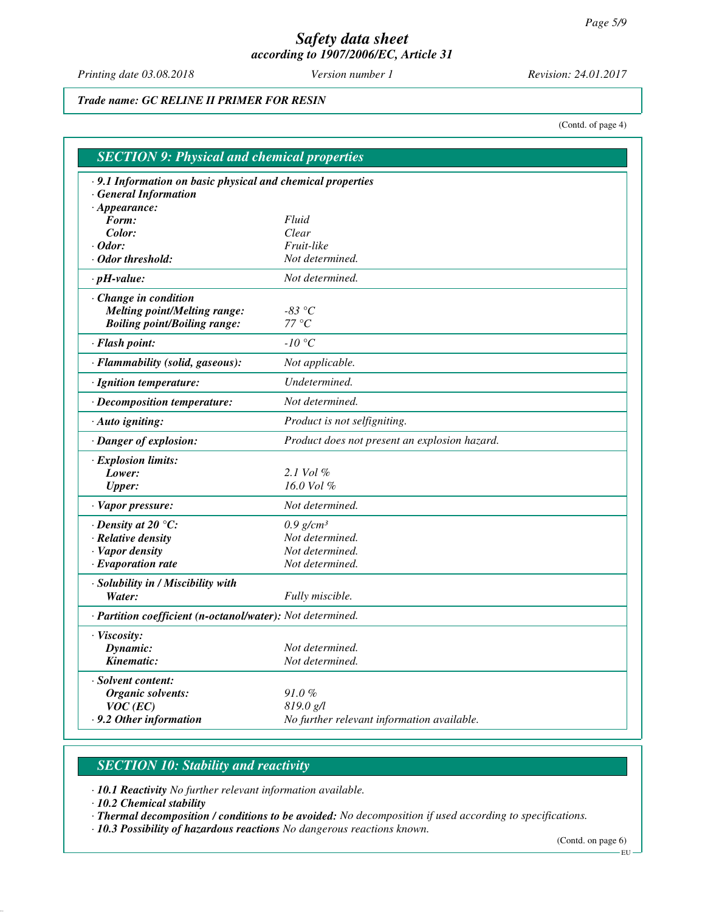*Printing date 03.08.2018 Version number 1 Revision: 24.01.2017*

*Trade name: GC RELINE II PRIMER FOR RESIN*

(Contd. of page 4)

| <b>SECTION 9: Physical and chemical properties</b>         |                                               |
|------------------------------------------------------------|-----------------------------------------------|
| .9.1 Information on basic physical and chemical properties |                                               |
| <b>General Information</b>                                 |                                               |
| $\cdot$ Appearance:<br>Form:                               | Fluid                                         |
| Color:                                                     | Clear                                         |
| $\cdot$ Odor:                                              | Fruit-like                                    |
| · Odor threshold:                                          | Not determined.                               |
| $\cdot$ pH-value:                                          | Not determined.                               |
| Change in condition                                        |                                               |
| <b>Melting point/Melting range:</b>                        | -83 $^{\circ}C$                               |
| <b>Boiling point/Boiling range:</b>                        | 77 °C                                         |
| · Flash point:                                             | $-10\ ^{\circ}C$                              |
| · Flammability (solid, gaseous):                           | Not applicable.                               |
| · Ignition temperature:                                    | Undetermined.                                 |
| · Decomposition temperature:                               | Not determined.                               |
| · Auto igniting:                                           | Product is not selfigniting.                  |
| · Danger of explosion:                                     | Product does not present an explosion hazard. |
| · Explosion limits:                                        |                                               |
| Lower:                                                     | $2.1$ Vol $%$                                 |
| <b>Upper:</b>                                              | 16.0 Vol %                                    |
| · Vapor pressure:                                          | Not determined.                               |
| $\cdot$ Density at 20 $\degree$ C:                         | $0.9$ g/cm <sup>3</sup>                       |
| · Relative density                                         | Not determined.                               |
| · Vapor density                                            | Not determined.                               |
| $\cdot$ Evaporation rate                                   | Not determined.                               |
| · Solubility in / Miscibility with                         |                                               |
| Water:                                                     | Fully miscible.                               |
| · Partition coefficient (n-octanol/water): Not determined. |                                               |
| · Viscosity:                                               |                                               |
| Dynamic:                                                   | Not determined.                               |
| Kinematic:                                                 | Not determined.                               |
| · Solvent content:                                         |                                               |
| Organic solvents:                                          | $91.0\%$                                      |
| $VOC$ (EC)                                                 | 819.0 g/l                                     |
| .9.2 Other information                                     | No further relevant information available.    |

## *SECTION 10: Stability and reactivity*

*· 10.1 Reactivity No further relevant information available.*

*· 10.2 Chemical stability*

*· Thermal decomposition / conditions to be avoided: No decomposition if used according to specifications.*

*· 10.3 Possibility of hazardous reactions No dangerous reactions known.*

(Contd. on page 6)

 $-EU -$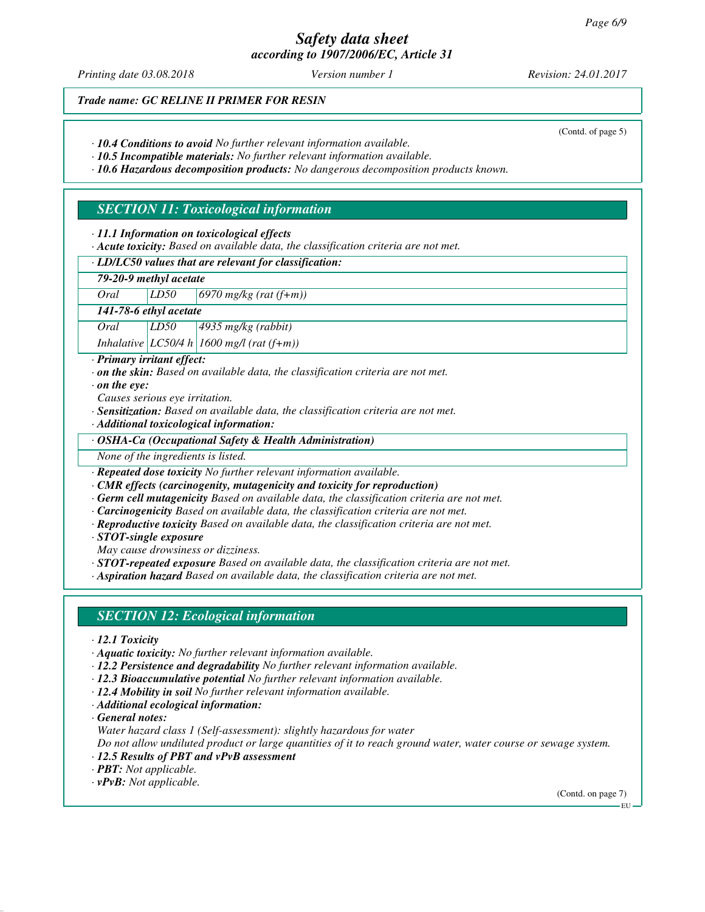*Printing date 03.08.2018 Version number 1 Revision: 24.01.2017*

(Contd. of page 5)

*Trade name: GC RELINE II PRIMER FOR RESIN*

*· 10.4 Conditions to avoid No further relevant information available.*

*· 10.5 Incompatible materials: No further relevant information available.*

*· 10.6 Hazardous decomposition products: No dangerous decomposition products known.*

## *SECTION 11: Toxicological information*

*· 11.1 Information on toxicological effects*

*· Acute toxicity: Based on available data, the classification criteria are not met.*

## *· LD/LC50 values that are relevant for classification:*

## *79-20-9 methyl acetate*

*Oral LD50 6970 mg/kg (rat (f+m))*

*141-78-6 ethyl acetate*

*Oral LD50 4935 mg/kg (rabbit)*

*Inhalative LC50/4 h 1600 mg/l (rat (f+m))*

*· Primary irritant effect:*

*· on the skin: Based on available data, the classification criteria are not met.*

*· on the eye:*

*Causes serious eye irritation.*

*· Sensitization: Based on available data, the classification criteria are not met.*

*· Additional toxicological information:*

*· OSHA-Ca (Occupational Safety & Health Administration)*

*None of the ingredients is listed.*

*· Repeated dose toxicity No further relevant information available.*

*· CMR effects (carcinogenity, mutagenicity and toxicity for reproduction)*

*· Germ cell mutagenicity Based on available data, the classification criteria are not met.*

*· Carcinogenicity Based on available data, the classification criteria are not met.*

*· Reproductive toxicity Based on available data, the classification criteria are not met.*

*· STOT-single exposure*

*May cause drowsiness or dizziness.*

*· STOT-repeated exposure Based on available data, the classification criteria are not met.*

*· Aspiration hazard Based on available data, the classification criteria are not met.*

#### *SECTION 12: Ecological information*

- *· 12.1 Toxicity*
- *· Aquatic toxicity: No further relevant information available.*
- *· 12.2 Persistence and degradability No further relevant information available.*
- *· 12.3 Bioaccumulative potential No further relevant information available.*
- *· 12.4 Mobility in soil No further relevant information available.*
- *· Additional ecological information:*

*· General notes:*

*Water hazard class 1 (Self-assessment): slightly hazardous for water*

*Do not allow undiluted product or large quantities of it to reach ground water, water course or sewage system. · 12.5 Results of PBT and vPvB assessment*

*· PBT: Not applicable.*

*· vPvB: Not applicable.*

(Contd. on page 7)

EU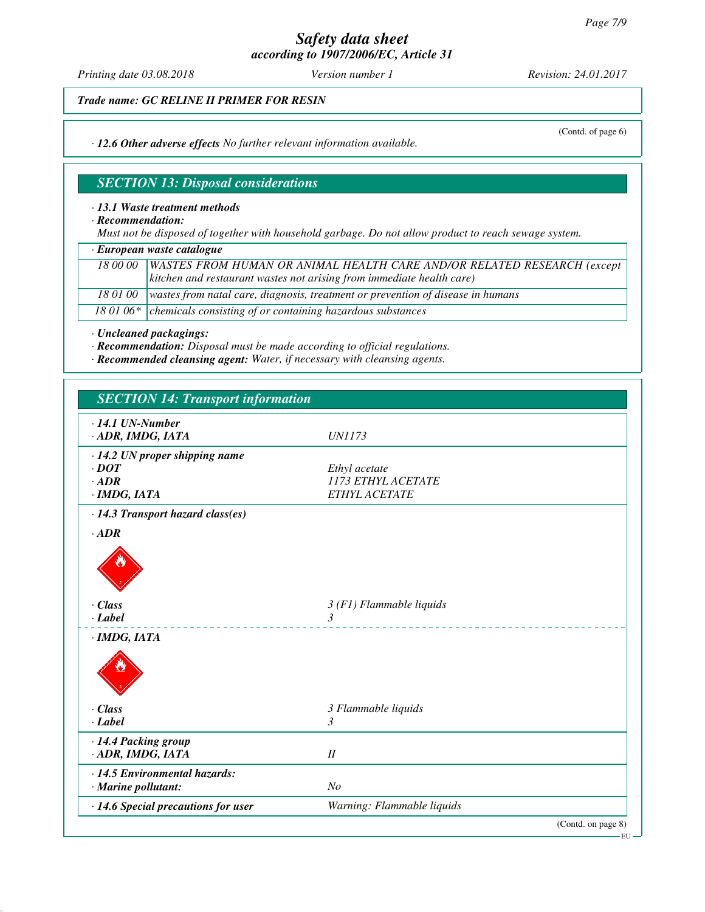*Printing date 03.08.2018 Version number 1 Revision: 24.01.2017*

(Contd. of page 6)

*Trade name: GC RELINE II PRIMER FOR RESIN*

*· 12.6 Other adverse effects No further relevant information available.*

## *SECTION 13: Disposal considerations*

#### *· 13.1 Waste treatment methods*

*· Recommendation:*

*Must not be disposed of together with household garbage. Do not allow product to reach sewage system.*

|  |  |  | · European waste catalogue |  |
|--|--|--|----------------------------|--|
|--|--|--|----------------------------|--|

| 18 00 00 | WASTES FROM HUMAN OR ANIMAL HEALTH CARE AND/OR RELATED RESEARCH (except                    |  |
|----------|--------------------------------------------------------------------------------------------|--|
|          | kitchen and restaurant wastes not arising from immediate health care)                      |  |
|          | 18 01 00   wastes from natal care, diagnosis, treatment or prevention of disease in humans |  |
|          | 18 01 06* $\vert$ chemicals consisting of or containing hazardous substances               |  |

*· Uncleaned packagings:*

*· Recommendation: Disposal must be made according to official regulations.*

*· Recommended cleansing agent: Water, if necessary with cleansing agents.*

| <b>SECTION 14: Transport information</b> |                            |                    |
|------------------------------------------|----------------------------|--------------------|
| $\cdot$ 14.1 UN-Number                   |                            |                    |
| · ADR, IMDG, IATA                        | <i>UN1173</i>              |                    |
| $\cdot$ 14.2 UN proper shipping name     |                            |                    |
| $\cdot$ <i>DOT</i>                       | Ethyl acetate              |                    |
| $-$ ADR                                  | 1173 ETHYL ACETATE         |                    |
| ·IMDG, IATA                              | ETHYL ACETATE              |                    |
| · 14.3 Transport hazard class(es)        |                            |                    |
| $\cdot$ <i>ADR</i>                       |                            |                    |
|                                          |                            |                    |
| $\cdot$ Class                            | $3(F1)$ Flammable liquids  |                    |
| $\cdot$ Label                            | 3                          |                    |
| $·$ <i>IMDG, IATA</i>                    |                            |                    |
| $\cdot$ Class                            | 3 Flammable liquids        |                    |
| $\cdot$ Label                            | $\mathfrak{Z}$             |                    |
| · 14.4 Packing group                     |                            |                    |
| · ADR, IMDG, IATA                        | II                         |                    |
| · 14.5 Environmental hazards:            |                            |                    |
| · Marine pollutant:                      | N <sub>o</sub>             |                    |
| · 14.6 Special precautions for user      | Warning: Flammable liquids |                    |
|                                          |                            | (Contd. on page 8) |

EU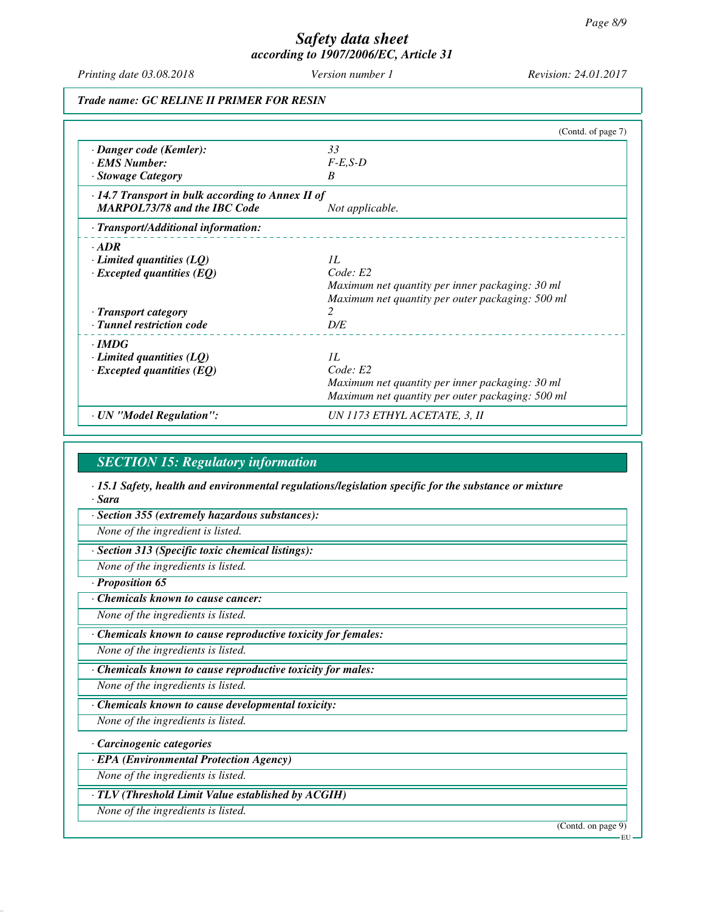*Printing date 03.08.2018 Version number 1 Revision: 24.01.2017*

*Trade name: GC RELINE II PRIMER FOR RESIN*

|                                                         | (Contd. of page 7)                               |
|---------------------------------------------------------|--------------------------------------------------|
| · Danger code (Kemler):                                 | 33                                               |
| · EMS Number:                                           | $F-E$ , $S-D$                                    |
| · Stowage Category                                      | B                                                |
| $\cdot$ 14.7 Transport in bulk according to Annex II of |                                                  |
| <b>MARPOL73/78 and the IBC Code</b>                     | Not applicable.                                  |
| · Transport/Additional information:                     |                                                  |
| $\cdot$ ADR                                             |                                                  |
| $\cdot$ Limited quantities (LQ)                         | 1L                                               |
| $\cdot$ Excepted quantities (EQ)                        | Code: E2                                         |
|                                                         | Maximum net quantity per inner packaging: 30 ml  |
|                                                         | Maximum net quantity per outer packaging: 500 ml |
| · Transport category                                    | $\mathfrak{D}$                                   |
| · Tunnel restriction code                               | D/E                                              |
| $\cdot$ IMDG                                            |                                                  |
| $\cdot$ Limited quantities (LQ)                         | IL                                               |
| $\cdot$ Excepted quantities (EQ)                        | Code: E2                                         |
|                                                         | Maximum net quantity per inner packaging: 30 ml  |
|                                                         | Maximum net quantity per outer packaging: 500 ml |
| · UN "Model Regulation":                                | UN 1173 ETHYL ACETATE, 3, II                     |

#### *SECTION 15: Regulatory information*

*· 15.1 Safety, health and environmental regulations/legislation specific for the substance or mixture · Sara*

*· Section 355 (extremely hazardous substances):*

*None of the ingredient is listed.*

*· Section 313 (Specific toxic chemical listings):*

*None of the ingredients is listed.*

*· Proposition 65*

*· Chemicals known to cause cancer:*

*None of the ingredients is listed.*

*· Chemicals known to cause reproductive toxicity for females:*

*None of the ingredients is listed.*

*· Chemicals known to cause reproductive toxicity for males:*

*None of the ingredients is listed.*

*· Chemicals known to cause developmental toxicity:*

*None of the ingredients is listed.*

*· Carcinogenic categories*

*· EPA (Environmental Protection Agency)*

*None of the ingredients is listed.*

*· TLV (Threshold Limit Value established by ACGIH)*

*None of the ingredients is listed.*

(Contd. on page 9)

EU